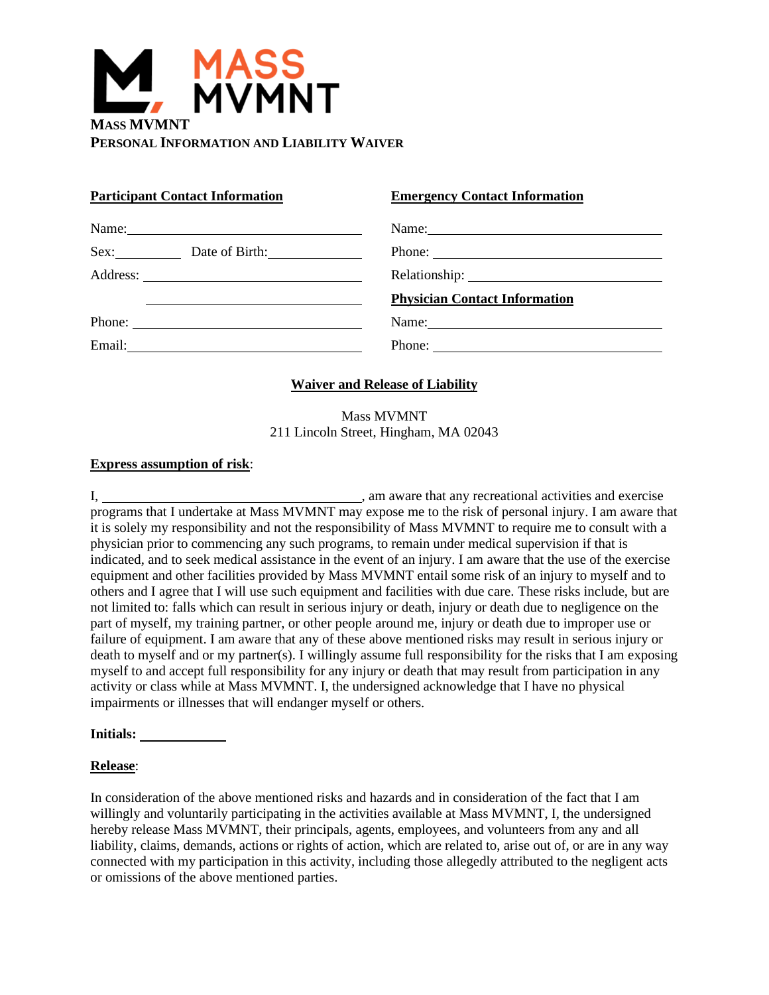

## **Participant Contact Information Emergency Contact Information**

| Name: Name:                                                                                                                                                                                                                                                                                                                                                                                                  |
|--------------------------------------------------------------------------------------------------------------------------------------------------------------------------------------------------------------------------------------------------------------------------------------------------------------------------------------------------------------------------------------------------------------|
| Phone: $\frac{1}{\sqrt{1-\frac{1}{2}}\sqrt{1-\frac{1}{2}}\sqrt{1-\frac{1}{2}}\sqrt{1-\frac{1}{2}}\sqrt{1-\frac{1}{2}}\sqrt{1-\frac{1}{2}}\sqrt{1-\frac{1}{2}}\sqrt{1-\frac{1}{2}}\sqrt{1-\frac{1}{2}}\sqrt{1-\frac{1}{2}}\sqrt{1-\frac{1}{2}}\sqrt{1-\frac{1}{2}}\sqrt{1-\frac{1}{2}}\sqrt{1-\frac{1}{2}}\sqrt{1-\frac{1}{2}}\sqrt{1-\frac{1}{2}}\sqrt{1-\frac{1}{2}}\sqrt{1-\frac{1}{2}}\sqrt{1-\frac{1}{2$ |
|                                                                                                                                                                                                                                                                                                                                                                                                              |
| <b>Physician Contact Information</b>                                                                                                                                                                                                                                                                                                                                                                         |
| Name:                                                                                                                                                                                                                                                                                                                                                                                                        |
| Phone: $\qquad \qquad$                                                                                                                                                                                                                                                                                                                                                                                       |

## **Waiver and Release of Liability**

Mass MVMNT 211 Lincoln Street, Hingham, MA 02043

#### **Express assumption of risk**:

I, , am aware that any recreational activities and exercise programs that I undertake at Mass MVMNT may expose me to the risk of personal injury. I am aware that it is solely my responsibility and not the responsibility of Mass MVMNT to require me to consult with a physician prior to commencing any such programs, to remain under medical supervision if that is indicated, and to seek medical assistance in the event of an injury. I am aware that the use of the exercise equipment and other facilities provided by Mass MVMNT entail some risk of an injury to myself and to others and I agree that I will use such equipment and facilities with due care. These risks include, but are not limited to: falls which can result in serious injury or death, injury or death due to negligence on the part of myself, my training partner, or other people around me, injury or death due to improper use or failure of equipment. I am aware that any of these above mentioned risks may result in serious injury or death to myself and or my partner(s). I willingly assume full responsibility for the risks that I am exposing myself to and accept full responsibility for any injury or death that may result from participation in any activity or class while at Mass MVMNT. I, the undersigned acknowledge that I have no physical impairments or illnesses that will endanger myself or others.

**Initials:** 

### **Release**:

In consideration of the above mentioned risks and hazards and in consideration of the fact that I am willingly and voluntarily participating in the activities available at Mass MVMNT, I, the undersigned hereby release Mass MVMNT, their principals, agents, employees, and volunteers from any and all liability, claims, demands, actions or rights of action, which are related to, arise out of, or are in any way connected with my participation in this activity, including those allegedly attributed to the negligent acts or omissions of the above mentioned parties.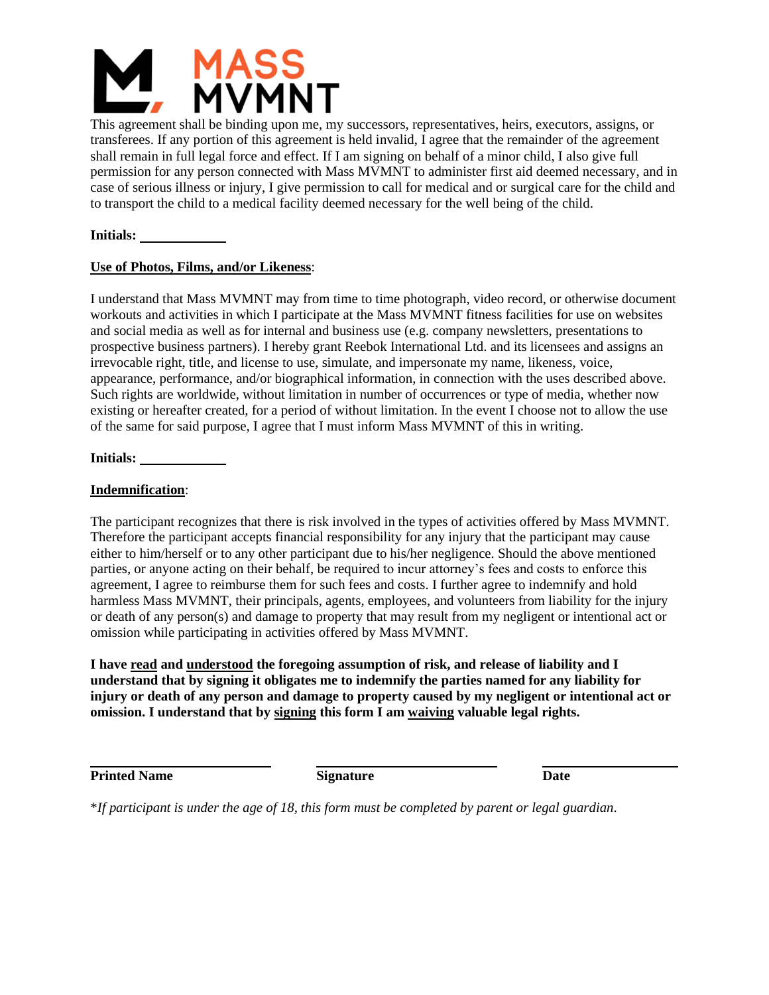

This agreement shall be binding upon me, my successors, representatives, heirs, executors, assigns, or transferees. If any portion of this agreement is held invalid, I agree that the remainder of the agreement shall remain in full legal force and effect. If I am signing on behalf of a minor child, I also give full permission for any person connected with Mass MVMNT to administer first aid deemed necessary, and in case of serious illness or injury, I give permission to call for medical and or surgical care for the child and to transport the child to a medical facility deemed necessary for the well being of the child.

**Initials:** 

### **Use of Photos, Films, and/or Likeness**:

I understand that Mass MVMNT may from time to time photograph, video record, or otherwise document workouts and activities in which I participate at the Mass MVMNT fitness facilities for use on websites and social media as well as for internal and business use (e.g. company newsletters, presentations to prospective business partners). I hereby grant Reebok International Ltd. and its licensees and assigns an irrevocable right, title, and license to use, simulate, and impersonate my name, likeness, voice, appearance, performance, and/or biographical information, in connection with the uses described above. Such rights are worldwide, without limitation in number of occurrences or type of media, whether now existing or hereafter created, for a period of without limitation. In the event I choose not to allow the use of the same for said purpose, I agree that I must inform Mass MVMNT of this in writing.

## **Initials:**

## **Indemnification**:

The participant recognizes that there is risk involved in the types of activities offered by Mass MVMNT. Therefore the participant accepts financial responsibility for any injury that the participant may cause either to him/herself or to any other participant due to his/her negligence. Should the above mentioned parties, or anyone acting on their behalf, be required to incur attorney's fees and costs to enforce this agreement, I agree to reimburse them for such fees and costs. I further agree to indemnify and hold harmless Mass MVMNT, their principals, agents, employees, and volunteers from liability for the injury or death of any person(s) and damage to property that may result from my negligent or intentional act or omission while participating in activities offered by Mass MVMNT.

**I have read and understood the foregoing assumption of risk, and release of liability and I understand that by signing it obligates me to indemnify the parties named for any liability for injury or death of any person and damage to property caused by my negligent or intentional act or omission. I understand that by signing this form I am waiving valuable legal rights.**

**Printed Name Signature Date**

\**If participant is under the age of 18, this form must be completed by parent or legal guardian.*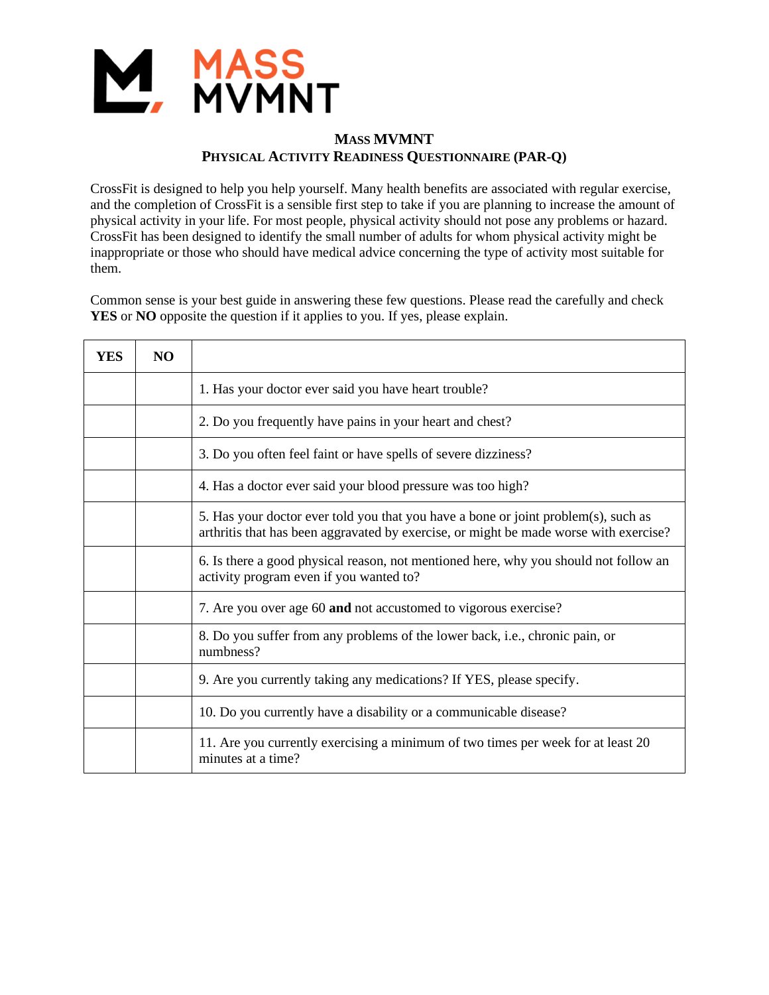

# **MASS MVMNT PHYSICAL ACTIVITY READINESS QUESTIONNAIRE (PAR-Q)**

CrossFit is designed to help you help yourself. Many health benefits are associated with regular exercise, and the completion of CrossFit is a sensible first step to take if you are planning to increase the amount of physical activity in your life. For most people, physical activity should not pose any problems or hazard. CrossFit has been designed to identify the small number of adults for whom physical activity might be inappropriate or those who should have medical advice concerning the type of activity most suitable for them.

Common sense is your best guide in answering these few questions. Please read the carefully and check **YES** or **NO** opposite the question if it applies to you. If yes, please explain.

| YES | NO. |                                                                                                                                                                             |
|-----|-----|-----------------------------------------------------------------------------------------------------------------------------------------------------------------------------|
|     |     | 1. Has your doctor ever said you have heart trouble?                                                                                                                        |
|     |     | 2. Do you frequently have pains in your heart and chest?                                                                                                                    |
|     |     | 3. Do you often feel faint or have spells of severe dizziness?                                                                                                              |
|     |     | 4. Has a doctor ever said your blood pressure was too high?                                                                                                                 |
|     |     | 5. Has your doctor ever told you that you have a bone or joint problem(s), such as<br>arthritis that has been aggravated by exercise, or might be made worse with exercise? |
|     |     | 6. Is there a good physical reason, not mentioned here, why you should not follow an<br>activity program even if you wanted to?                                             |
|     |     | 7. Are you over age 60 and not accustomed to vigorous exercise?                                                                                                             |
|     |     | 8. Do you suffer from any problems of the lower back, i.e., chronic pain, or<br>numbness?                                                                                   |
|     |     | 9. Are you currently taking any medications? If YES, please specify.                                                                                                        |
|     |     | 10. Do you currently have a disability or a communicable disease?                                                                                                           |
|     |     | 11. Are you currently exercising a minimum of two times per week for at least 20<br>minutes at a time?                                                                      |